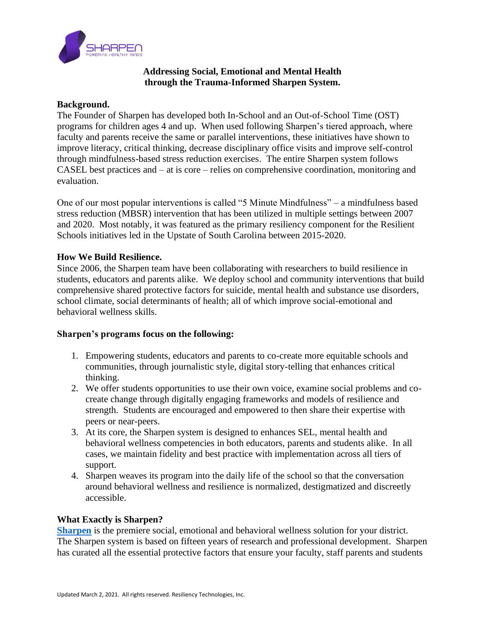

### **Addressing Social, Emotional and Mental Health through the Trauma-Informed Sharpen System.**

#### **Background.**

The Founder of Sharpen has developed both In-School and an Out-of-School Time (OST) programs for children ages 4 and up. When used following Sharpen's tiered approach, where faculty and parents receive the same or parallel interventions, these initiatives have shown to improve literacy, critical thinking, decrease disciplinary office visits and improve self-control through mindfulness-based stress reduction exercises. The entire Sharpen system follows CASEL best practices and – at is core – relies on comprehensive coordination, monitoring and evaluation.

One of our most popular interventions is called "5 Minute Mindfulness" – a mindfulness based stress reduction (MBSR) intervention that has been utilized in multiple settings between 2007 and 2020. Most notably, it was featured as the primary resiliency component for the Resilient Schools initiatives led in the Upstate of South Carolina between 2015-2020.

#### **How We Build Resilience.**

Since 2006, the Sharpen team have been collaborating with researchers to build resilience in students, educators and parents alike. We deploy school and community interventions that build comprehensive shared protective factors for suicide, mental health and substance use disorders, school climate, social determinants of health; all of which improve social-emotional and behavioral wellness skills.

#### **Sharpen's programs focus on the following:**

- 1. Empowering students, educators and parents to co-create more equitable schools and communities, through journalistic style, digital story-telling that enhances critical thinking.
- 2. We offer students opportunities to use their own voice, examine social problems and cocreate change through digitally engaging frameworks and models of resilience and strength. Students are encouraged and empowered to then share their expertise with peers or near-peers.
- 3. At its core, the Sharpen system is designed to enhances SEL, mental health and behavioral wellness competencies in both educators, parents and students alike. In all cases, we maintain fidelity and best practice with implementation across all tiers of support.
- 4. Sharpen weaves its program into the daily life of the school so that the conversation around behavioral wellness and resilience is normalized, destigmatized and discreetly accessible.

#### **What Exactly is Sharpen?**

**[Sharpen](https://www.sharpenminds.com/our-solution)** is the premiere social, emotional and behavioral wellness solution for your district. The Sharpen system is based on fifteen years of research and professional development. Sharpen has curated all the essential protective factors that ensure your faculty, staff parents and students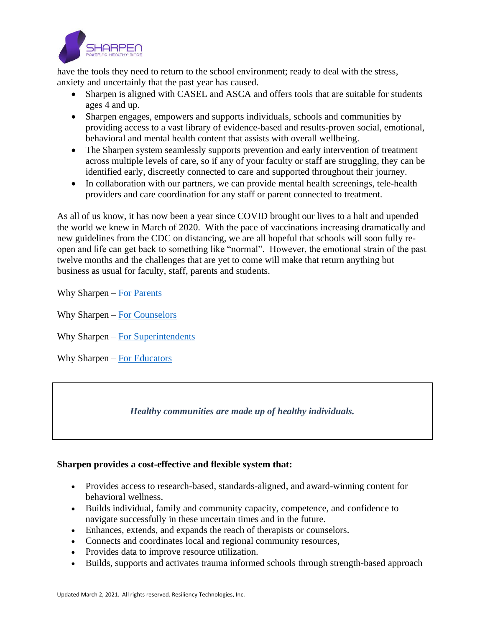

have the tools they need to return to the school environment; ready to deal with the stress, anxiety and uncertainly that the past year has caused.

- Sharpen is aligned with CASEL and ASCA and offers tools that are suitable for students ages 4 and up.
- Sharpen engages, empowers and supports individuals, schools and communities by providing access to a vast library of evidence-based and results-proven social, emotional, behavioral and mental health content that assists with overall wellbeing.
- The Sharpen system seamlessly supports prevention and early intervention of treatment across multiple levels of care, so if any of your faculty or staff are struggling, they can be identified early, discreetly connected to care and supported throughout their journey.
- In collaboration with our partners, we can provide mental health screenings, tele-health providers and care coordination for any staff or parent connected to treatment.

As all of us know, it has now been a year since COVID brought our lives to a halt and upended the world we knew in March of 2020. With the pace of vaccinations increasing dramatically and new guidelines from the CDC on distancing, we are all hopeful that schools will soon fully reopen and life can get back to something like "normal". However, the emotional strain of the past twelve months and the challenges that are yet to come will make that return anything but business as usual for faculty, staff, parents and students.

Why Sharpen – [For Parents](https://vimeo.com/511861148)

Why Sharpen – [For Counselors](https://vimeo.com/511860405)

Why Sharpen – [For Superintendents](https://vimeo.com/511861474)

Why Sharpen – [For Educators](https://vimeo.com/511860915)

## *Healthy communities are made up of healthy individuals.*

#### **Sharpen provides a cost-effective and flexible system that:**

- Provides access to research-based, standards-aligned, and award-winning content for behavioral wellness.
- Builds individual, family and community capacity, competence, and confidence to navigate successfully in these uncertain times and in the future.
- Enhances, extends, and expands the reach of therapists or counselors.
- Connects and coordinates local and regional community resources,
- Provides data to improve resource utilization.
- Builds, supports and activates trauma informed schools through strength-based approach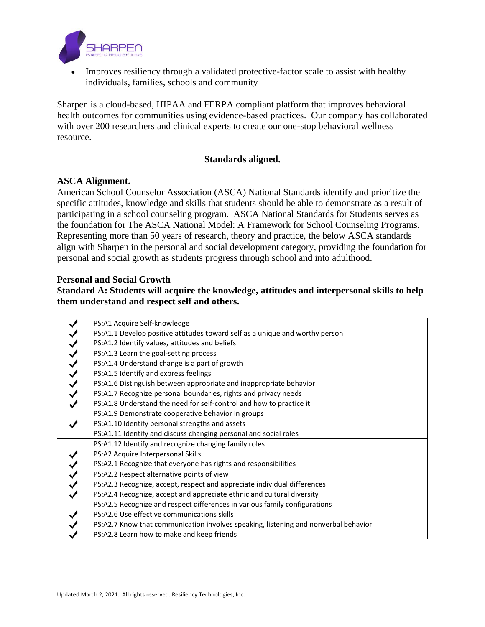

• Improves resiliency through a validated protective-factor scale to assist with healthy individuals, families, schools and community

Sharpen is a cloud-based, HIPAA and FERPA compliant platform that improves behavioral health outcomes for communities using evidence-based practices. Our company has collaborated with over 200 researchers and clinical experts to create our one-stop behavioral wellness resource.

#### **Standards aligned.**

#### **ASCA Alignment.**

American School Counselor Association (ASCA) National Standards identify and prioritize the specific attitudes, knowledge and skills that students should be able to demonstrate as a result of participating in a school counseling program. ASCA National Standards for Students serves as the foundation for The ASCA National Model: A Framework for School Counseling Programs. Representing more than 50 years of research, theory and practice, the below ASCA standards align with Sharpen in the personal and social development category, providing the foundation for personal and social growth as students progress through school and into adulthood.

#### **Personal and Social Growth**

**Standard A: Students will acquire the knowledge, attitudes and interpersonal skills to help them understand and respect self and others.**

| PS:A1 Acquire Self-knowledge                                                        |
|-------------------------------------------------------------------------------------|
| PS:A1.1 Develop positive attitudes toward self as a unique and worthy person        |
| PS:A1.2 Identify values, attitudes and beliefs                                      |
| PS:A1.3 Learn the goal-setting process                                              |
| PS:A1.4 Understand change is a part of growth                                       |
| PS:A1.5 Identify and express feelings                                               |
| PS:A1.6 Distinguish between appropriate and inappropriate behavior                  |
| PS:A1.7 Recognize personal boundaries, rights and privacy needs                     |
| PS:A1.8 Understand the need for self-control and how to practice it                 |
| PS:A1.9 Demonstrate cooperative behavior in groups                                  |
| PS:A1.10 Identify personal strengths and assets                                     |
| PS:A1.11 Identify and discuss changing personal and social roles                    |
| PS:A1.12 Identify and recognize changing family roles                               |
| PS:A2 Acquire Interpersonal Skills                                                  |
| PS:A2.1 Recognize that everyone has rights and responsibilities                     |
| PS:A2.2 Respect alternative points of view                                          |
| PS:A2.3 Recognize, accept, respect and appreciate individual differences            |
| PS:A2.4 Recognize, accept and appreciate ethnic and cultural diversity              |
| PS:A2.5 Recognize and respect differences in various family configurations          |
| PS:A2.6 Use effective communications skills                                         |
| PS:A2.7 Know that communication involves speaking, listening and nonverbal behavior |
| PS:A2.8 Learn how to make and keep friends                                          |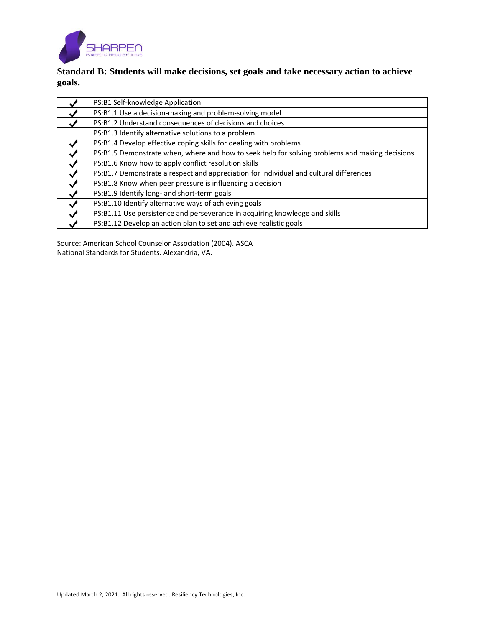

# **Standard B: Students will make decisions, set goals and take necessary action to achieve goals.**

| PS:B1 Self-knowledge Application                                                               |  |  |
|------------------------------------------------------------------------------------------------|--|--|
| PS:B1.1 Use a decision-making and problem-solving model                                        |  |  |
| PS:B1.2 Understand consequences of decisions and choices                                       |  |  |
| PS:B1.3 Identify alternative solutions to a problem                                            |  |  |
| PS:B1.4 Develop effective coping skills for dealing with problems                              |  |  |
| PS:B1.5 Demonstrate when, where and how to seek help for solving problems and making decisions |  |  |
| PS:B1.6 Know how to apply conflict resolution skills                                           |  |  |
| PS:B1.7 Demonstrate a respect and appreciation for individual and cultural differences         |  |  |
| PS:B1.8 Know when peer pressure is influencing a decision                                      |  |  |
| PS:B1.9 Identify long- and short-term goals                                                    |  |  |
| PS:B1.10 Identify alternative ways of achieving goals                                          |  |  |
| PS:B1.11 Use persistence and perseverance in acquiring knowledge and skills                    |  |  |
| PS:B1.12 Develop an action plan to set and achieve realistic goals                             |  |  |

Source: American School Counselor Association (2004). ASCA National Standards for Students. Alexandria, VA.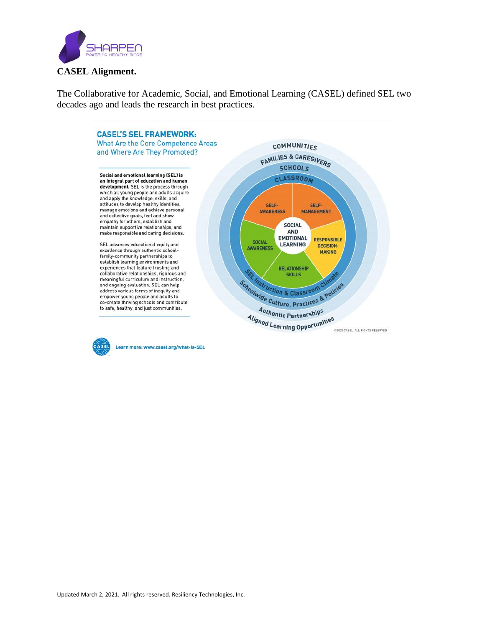

The Collaborative for Academic, Social, and Emotional Learning (CASEL) defined SEL two decades ago and leads the research in best practices.





Learn more: www.casel.org/what-is-SEL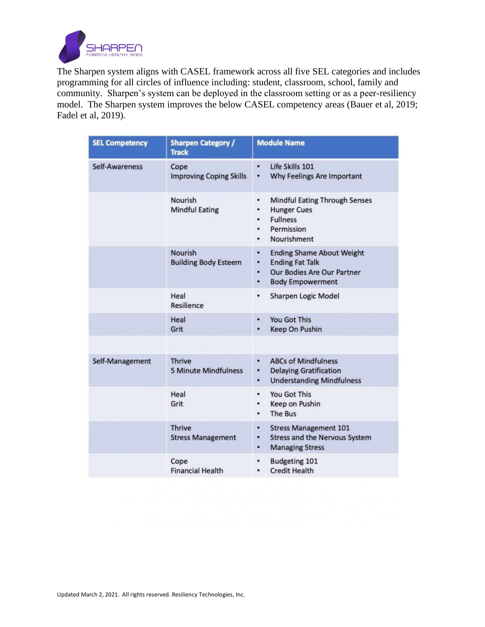

The Sharpen system aligns with CASEL framework across all five SEL categories and includes programming for all circles of influence including: student, classroom, school, family and community. Sharpen's system can be deployed in the classroom setting or as a peer-resiliency model. The Sharpen system improves the below CASEL competency areas (Bauer et al, 2019; Fadel et al, 2019).

| <b>SEL Competency</b> | <b>Sharpen Category /</b><br><b>Track</b>     | <b>Module Name</b>                                                                                                                      |
|-----------------------|-----------------------------------------------|-----------------------------------------------------------------------------------------------------------------------------------------|
| Self-Awareness        | Cope<br><b>Improving Coping Skills</b>        | Life Skills 101<br>٠<br>Why Feelings Are Important<br>۰                                                                                 |
|                       | Nourish<br><b>Mindful Eating</b>              | <b>Mindful Eating Through Senses</b><br><b>Hunger Cues</b><br><b>Fullness</b><br>٠<br>Permission<br>٠<br>Nourishment<br>٠               |
|                       | <b>Nourish</b><br><b>Building Body Esteem</b> | <b>Ending Shame About Weight</b><br>٠<br><b>Ending Fat Talk</b><br>٠<br>Our Bodies Are Our Partner<br>٠<br><b>Body Empowerment</b><br>٠ |
|                       | Heal<br>Resilience                            | <b>Sharpen Logic Model</b><br>٠                                                                                                         |
|                       | Heal<br>Grit                                  | You Got This<br>٠<br><b>Keep On Pushin</b>                                                                                              |
| Self-Management       | <b>Thrive</b><br><b>5 Minute Mindfulness</b>  | <b>ABCs of Mindfulness</b><br>٠<br><b>Delaying Gratification</b><br>۰<br><b>Understanding Mindfulness</b><br>٠                          |
|                       | Heal<br>Grit                                  | You Got This<br>۰<br>Keep on Pushin<br>٠<br>The Bus                                                                                     |
|                       | <b>Thrive</b><br><b>Stress Management</b>     | <b>Stress Management 101</b><br>٠<br><b>Stress and the Nervous System</b><br>٠<br><b>Managing Stress</b><br>٠                           |
|                       | Cope<br><b>Financial Health</b>               | <b>Budgeting 101</b><br><b>Credit Health</b>                                                                                            |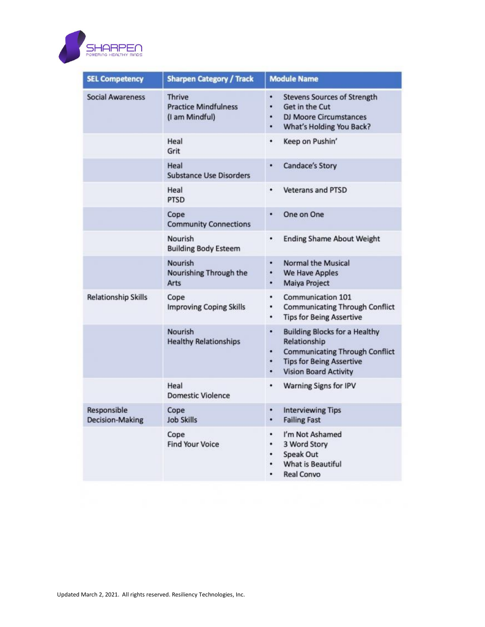

| <b>SEL Competency</b>                 | <b>Sharpen Category / Track</b>                                | <b>Module Name</b>                                                                                                                                                                   |
|---------------------------------------|----------------------------------------------------------------|--------------------------------------------------------------------------------------------------------------------------------------------------------------------------------------|
| <b>Social Awareness</b>               | <b>Thrive</b><br><b>Practice Mindfulness</b><br>(I am Mindful) | ٠<br><b>Stevens Sources of Strength</b><br>Get in the Cut<br>۰<br><b>DJ Moore Circumstances</b><br>٠<br>What's Holding You Back?<br>٠                                                |
|                                       | Heal<br>Grit                                                   | ٠<br>Keep on Pushin'                                                                                                                                                                 |
|                                       | Heal<br><b>Substance Use Disorders</b>                         | <b>Candace's Story</b><br>٠                                                                                                                                                          |
|                                       | Heal<br><b>PTSD</b>                                            | ٠<br><b>Veterans and PTSD</b>                                                                                                                                                        |
|                                       | Cope<br><b>Community Connections</b>                           | One on One<br>٠                                                                                                                                                                      |
|                                       | Nourish<br><b>Building Body Esteem</b>                         | <b>Ending Shame About Weight</b><br>٠                                                                                                                                                |
|                                       | <b>Nourish</b><br>Nourishing Through the<br>Arts               | <b>Normal the Musical</b><br>٠<br><b>We Have Apples</b><br>۰<br>Maiya Project<br>٠                                                                                                   |
| <b>Relationship Skills</b>            | Cope<br><b>Improving Coping Skills</b>                         | Communication 101<br>٠<br><b>Communicating Through Conflict</b><br>۰<br><b>Tips for Being Assertive</b><br>٠                                                                         |
|                                       | <b>Nourish</b><br><b>Healthy Relationships</b>                 | <b>Building Blocks for a Healthy</b><br>٠<br>Relationship<br><b>Communicating Through Conflict</b><br>٠<br><b>Tips for Being Assertive</b><br>۰<br><b>Vision Board Activity</b><br>٠ |
|                                       | Heal<br><b>Domestic Violence</b>                               | <b>Warning Signs for IPV</b><br>۰                                                                                                                                                    |
| Responsible<br><b>Decision-Making</b> | Cope<br><b>Job Skills</b>                                      | <b>Interviewing Tips</b><br>٠<br><b>Failing Fast</b><br>٠                                                                                                                            |
|                                       | Cope<br><b>Find Your Voice</b>                                 | I'm Not Ashamed<br>٠<br>3 Word Story<br>٠<br>Speak Out<br>٠<br><b>What is Beautiful</b><br>٠<br><b>Real Convo</b><br>٠                                                               |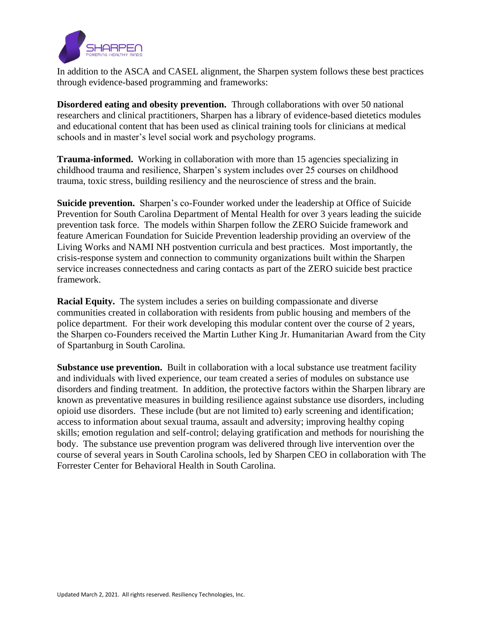

In addition to the ASCA and CASEL alignment, the Sharpen system follows these best practices through evidence-based programming and frameworks:

**Disordered eating and obesity prevention.** Through collaborations with over 50 national researchers and clinical practitioners, Sharpen has a library of evidence-based dietetics modules and educational content that has been used as clinical training tools for clinicians at medical schools and in master's level social work and psychology programs.

**Trauma-informed.** Working in collaboration with more than 15 agencies specializing in childhood trauma and resilience, Sharpen's system includes over 25 courses on childhood trauma, toxic stress, building resiliency and the neuroscience of stress and the brain.

**Suicide prevention.** Sharpen's co-Founder worked under the leadership at Office of Suicide Prevention for South Carolina Department of Mental Health for over 3 years leading the suicide prevention task force. The models within Sharpen follow the ZERO Suicide framework and feature American Foundation for Suicide Prevention leadership providing an overview of the Living Works and NAMI NH postvention curricula and best practices. Most importantly, the crisis-response system and connection to community organizations built within the Sharpen service increases connectedness and caring contacts as part of the ZERO suicide best practice framework.

**Racial Equity.** The system includes a series on building compassionate and diverse communities created in collaboration with residents from public housing and members of the police department. For their work developing this modular content over the course of 2 years, the Sharpen co-Founders received the Martin Luther King Jr. Humanitarian Award from the City of Spartanburg in South Carolina.

**Substance use prevention.** Built in collaboration with a local substance use treatment facility and individuals with lived experience, our team created a series of modules on substance use disorders and finding treatment. In addition, the protective factors within the Sharpen library are known as preventative measures in building resilience against substance use disorders, including opioid use disorders. These include (but are not limited to) early screening and identification; access to information about sexual trauma, assault and adversity; improving healthy coping skills; emotion regulation and self-control; delaying gratification and methods for nourishing the body. The substance use prevention program was delivered through live intervention over the course of several years in South Carolina schools, led by Sharpen CEO in collaboration with The Forrester Center for Behavioral Health in South Carolina.